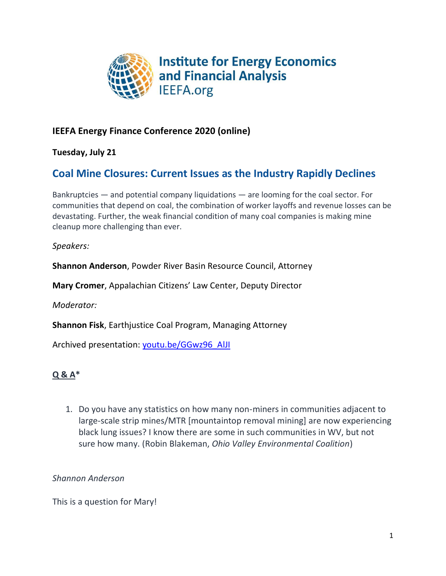

## **IEEFA Energy Finance Conference 2020 (online)**

**Tuesday, July 21**

# **Coal Mine Closures: Current Issues as the Industry Rapidly Declines**

Bankruptcies — and potential company liquidations — are looming for the coal sector. For communities that depend on coal, the combination of worker layoffs and revenue losses can be devastating. Further, the weak financial condition of many coal companies is making mine cleanup more challenging than ever.

*Speakers:*

**Shannon Anderson**, Powder River Basin Resource Council, Attorney

**Mary Cromer**, Appalachian Citizens' Law Center, Deputy Director

*Moderator:*

**Shannon Fisk**, Earthjustice Coal Program, Managing Attorney

Archived presentation: [youtu.be/GGwz96\\_AlJI](https://youtu.be/GGwz96_AlJI)

## **Q & A\***

1. Do you have any statistics on how many non-miners in communities adjacent to large-scale strip mines/MTR [mountaintop removal mining] are now experiencing black lung issues? I know there are some in such communities in WV, but not sure how many. (Robin Blakeman, *Ohio Valley Environmental Coalition*)

*Shannon Anderson*

This is a question for Mary!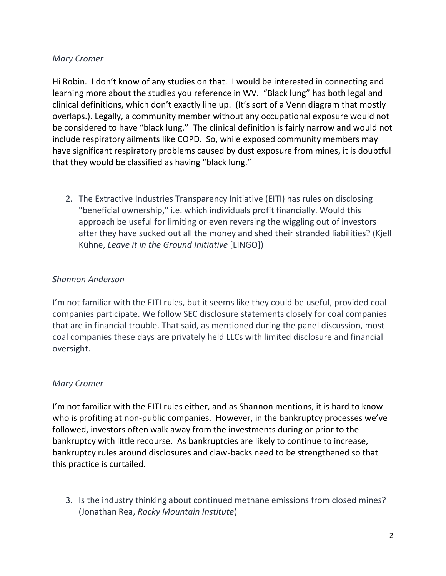Hi Robin. I don't know of any studies on that. I would be interested in connecting and learning more about the studies you reference in WV. "Black lung" has both legal and clinical definitions, which don't exactly line up. (It's sort of a Venn diagram that mostly overlaps.). Legally, a community member without any occupational exposure would not be considered to have "black lung." The clinical definition is fairly narrow and would not include respiratory ailments like COPD. So, while exposed community members may have significant respiratory problems caused by dust exposure from mines, it is doubtful that they would be classified as having "black lung."

2. The Extractive Industries Transparency Initiative (EITI) has rules on disclosing "beneficial ownership," i.e. which individuals profit financially. Would this approach be useful for limiting or even reversing the wiggling out of investors after they have sucked out all the money and shed their stranded liabilities? (Kjell Kühne, *Leave it in the Ground Initiative* [LINGO])

## *Shannon Anderson*

I'm not familiar with the EITI rules, but it seems like they could be useful, provided coal companies participate. We follow SEC disclosure statements closely for coal companies that are in financial trouble. That said, as mentioned during the panel discussion, most coal companies these days are privately held LLCs with limited disclosure and financial oversight.

## *Mary Cromer*

I'm not familiar with the EITI rules either, and as Shannon mentions, it is hard to know who is profiting at non-public companies. However, in the bankruptcy processes we've followed, investors often walk away from the investments during or prior to the bankruptcy with little recourse. As bankruptcies are likely to continue to increase, bankruptcy rules around disclosures and claw-backs need to be strengthened so that this practice is curtailed.

3. Is the industry thinking about continued methane emissions from closed mines? (Jonathan Rea, *Rocky Mountain Institute*)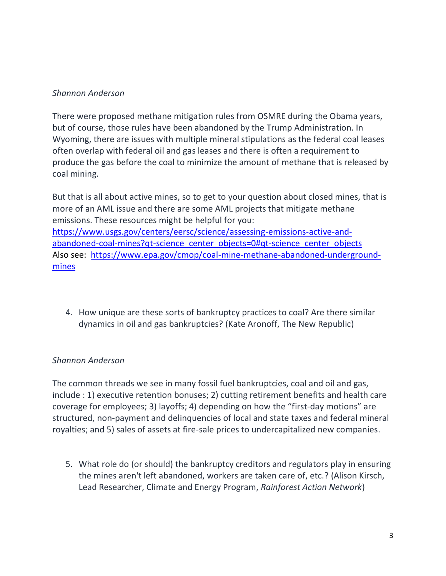#### *Shannon Anderson*

There were proposed methane mitigation rules from OSMRE during the Obama years, but of course, those rules have been abandoned by the Trump Administration. In Wyoming, there are issues with multiple mineral stipulations as the federal coal leases often overlap with federal oil and gas leases and there is often a requirement to produce the gas before the coal to minimize the amount of methane that is released by coal mining.

But that is all about active mines, so to get to your question about closed mines, that is more of an AML issue and there are some AML projects that mitigate methane emissions. These resources might be helpful for you: [https://www.usgs.gov/centers/eersc/science/assessing-emissions-active-and](https://www.usgs.gov/centers/eersc/science/assessing-emissions-active-and-abandoned-coal-mines?qt-science_center_objects=0#qt-science_center_objects)[abandoned-coal-mines?qt-science\\_center\\_objects=0#qt-science\\_center\\_objects](https://www.usgs.gov/centers/eersc/science/assessing-emissions-active-and-abandoned-coal-mines?qt-science_center_objects=0#qt-science_center_objects) Also see: [https://www.epa.gov/cmop/coal-mine-methane-abandoned-underground](https://www.epa.gov/cmop/coal-mine-methane-abandoned-underground-mines)[mines](https://www.epa.gov/cmop/coal-mine-methane-abandoned-underground-mines)

4. How unique are these sorts of bankruptcy practices to coal? Are there similar dynamics in oil and gas bankruptcies? (Kate Aronoff, The New Republic)

## *Shannon Anderson*

The common threads we see in many fossil fuel bankruptcies, coal and oil and gas, include : 1) executive retention bonuses; 2) cutting retirement benefits and health care coverage for employees; 3) layoffs; 4) depending on how the "first-day motions" are structured, non-payment and delinquencies of local and state taxes and federal mineral royalties; and 5) sales of assets at fire-sale prices to undercapitalized new companies.

5. What role do (or should) the bankruptcy creditors and regulators play in ensuring the mines aren't left abandoned, workers are taken care of, etc.? (Alison Kirsch, Lead Researcher, Climate and Energy Program, *Rainforest Action Network*)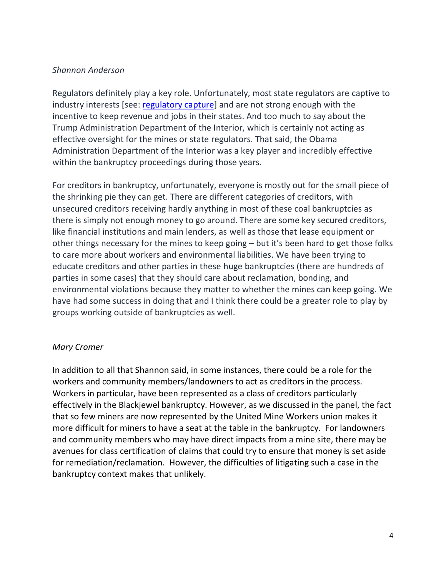#### *Shannon Anderson*

Regulators definitely play a key role. Unfortunately, most state regulators are captive to industry interests [see: [regulatory capture\]](https://www.investopedia.com/terms/r/regulatory-capture.asp#:~:text=Regulatory%20capture%20is%20an%20economic,is%20supposed%20to%20be%20regulating.) and are not strong enough with the incentive to keep revenue and jobs in their states. And too much to say about the Trump Administration Department of the Interior, which is certainly not acting as effective oversight for the mines or state regulators. That said, the Obama Administration Department of the Interior was a key player and incredibly effective within the bankruptcy proceedings during those years.

For creditors in bankruptcy, unfortunately, everyone is mostly out for the small piece of the shrinking pie they can get. There are different categories of creditors, with unsecured creditors receiving hardly anything in most of these coal bankruptcies as there is simply not enough money to go around. There are some key secured creditors, like financial institutions and main lenders, as well as those that lease equipment or other things necessary for the mines to keep going – but it's been hard to get those folks to care more about workers and environmental liabilities. We have been trying to educate creditors and other parties in these huge bankruptcies (there are hundreds of parties in some cases) that they should care about reclamation, bonding, and environmental violations because they matter to whether the mines can keep going. We have had some success in doing that and I think there could be a greater role to play by groups working outside of bankruptcies as well.

## *Mary Cromer*

In addition to all that Shannon said, in some instances, there could be a role for the workers and community members/landowners to act as creditors in the process. Workers in particular, have been represented as a class of creditors particularly effectively in the Blackjewel bankruptcy. However, as we discussed in the panel, the fact that so few miners are now represented by the United Mine Workers union makes it more difficult for miners to have a seat at the table in the bankruptcy. For landowners and community members who may have direct impacts from a mine site, there may be avenues for class certification of claims that could try to ensure that money is set aside for remediation/reclamation. However, the difficulties of litigating such a case in the bankruptcy context makes that unlikely.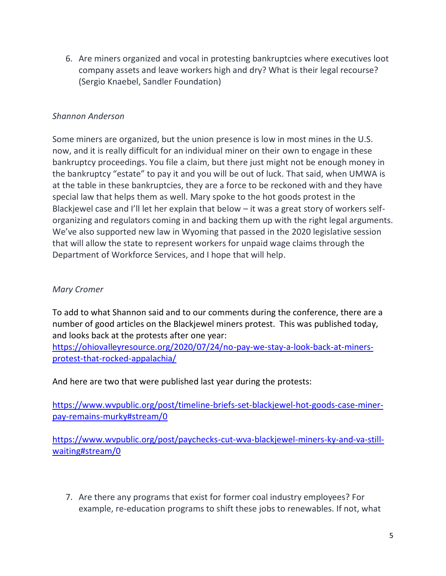6. Are miners organized and vocal in protesting bankruptcies where executives loot company assets and leave workers high and dry? What is their legal recourse? (Sergio Knaebel, Sandler Foundation)

## *Shannon Anderson*

Some miners are organized, but the union presence is low in most mines in the U.S. now, and it is really difficult for an individual miner on their own to engage in these bankruptcy proceedings. You file a claim, but there just might not be enough money in the bankruptcy "estate" to pay it and you will be out of luck. That said, when UMWA is at the table in these bankruptcies, they are a force to be reckoned with and they have special law that helps them as well. Mary spoke to the hot goods protest in the Blackjewel case and I'll let her explain that below – it was a great story of workers selforganizing and regulators coming in and backing them up with the right legal arguments. We've also supported new law in Wyoming that passed in the 2020 legislative session that will allow the state to represent workers for unpaid wage claims through the Department of Workforce Services, and I hope that will help.

## *Mary Cromer*

To add to what Shannon said and to our comments during the conference, there are a number of good articles on the Blackjewel miners protest. This was published today, and looks back at the protests after one year:

[https://ohiovalleyresource.org/2020/07/24/no-pay-we-stay-a-look-back-at-miners](https://ohiovalleyresource.org/2020/07/24/no-pay-we-stay-a-look-back-at-miners-protest-that-rocked-appalachia/)[protest-that-rocked-appalachia/](https://ohiovalleyresource.org/2020/07/24/no-pay-we-stay-a-look-back-at-miners-protest-that-rocked-appalachia/)

And here are two that were published last year during the protests:

[https://www.wvpublic.org/post/timeline-briefs-set-blackjewel-hot-goods-case-miner](https://www.wvpublic.org/post/timeline-briefs-set-blackjewel-hot-goods-case-miner-pay-remains-murky%23stream/0)[pay-remains-murky#stream/0](https://www.wvpublic.org/post/timeline-briefs-set-blackjewel-hot-goods-case-miner-pay-remains-murky%23stream/0)

[https://www.wvpublic.org/post/paychecks-cut-wva-blackjewel-miners-ky-and-va-still](https://www.wvpublic.org/post/paychecks-cut-wva-blackjewel-miners-ky-and-va-still-waiting%23stream/0)[waiting#stream/0](https://www.wvpublic.org/post/paychecks-cut-wva-blackjewel-miners-ky-and-va-still-waiting%23stream/0)

7. Are there any programs that exist for former coal industry employees? For example, re-education programs to shift these jobs to renewables. If not, what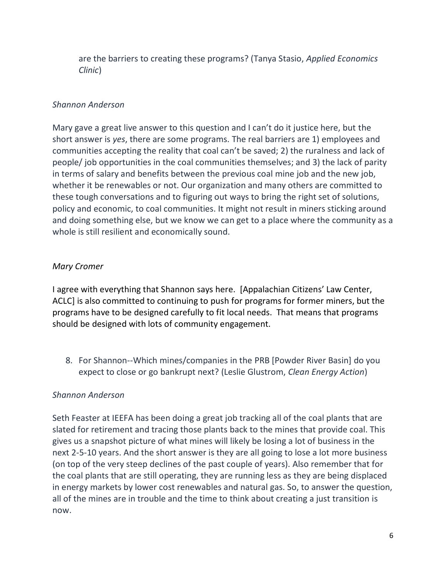are the barriers to creating these programs? (Tanya Stasio, *Applied Economics Clinic*)

#### *Shannon Anderson*

Mary gave a great live answer to this question and I can't do it justice here, but the short answer is *yes*, there are some programs. The real barriers are 1) employees and communities accepting the reality that coal can't be saved; 2) the ruralness and lack of people/ job opportunities in the coal communities themselves; and 3) the lack of parity in terms of salary and benefits between the previous coal mine job and the new job, whether it be renewables or not. Our organization and many others are committed to these tough conversations and to figuring out ways to bring the right set of solutions, policy and economic, to coal communities. It might not result in miners sticking around and doing something else, but we know we can get to a place where the community as a whole is still resilient and economically sound.

## *Mary Cromer*

I agree with everything that Shannon says here. [Appalachian Citizens' Law Center, ACLC] is also committed to continuing to push for programs for former miners, but the programs have to be designed carefully to fit local needs. That means that programs should be designed with lots of community engagement.

8. For Shannon--Which mines/companies in the PRB [Powder River Basin] do you expect to close or go bankrupt next? (Leslie Glustrom, *Clean Energy Action*)

## *Shannon Anderson*

Seth Feaster at IEEFA has been doing a great job tracking all of the coal plants that are slated for retirement and tracing those plants back to the mines that provide coal. This gives us a snapshot picture of what mines will likely be losing a lot of business in the next 2-5-10 years. And the short answer is they are all going to lose a lot more business (on top of the very steep declines of the past couple of years). Also remember that for the coal plants that are still operating, they are running less as they are being displaced in energy markets by lower cost renewables and natural gas. So, to answer the question, all of the mines are in trouble and the time to think about creating a just transition is now.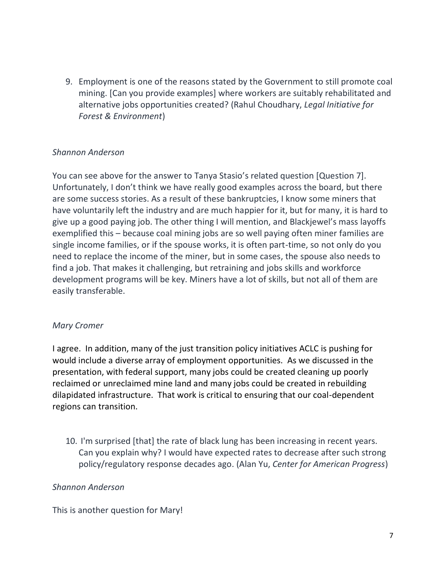9. Employment is one of the reasons stated by the Government to still promote coal mining. [Can you provide examples] where workers are suitably rehabilitated and alternative jobs opportunities created? (Rahul Choudhary, *Legal Initiative for Forest & Environment*)

## *Shannon Anderson*

You can see above for the answer to Tanya Stasio's related question [Question 7]. Unfortunately, I don't think we have really good examples across the board, but there are some success stories. As a result of these bankruptcies, I know some miners that have voluntarily left the industry and are much happier for it, but for many, it is hard to give up a good paying job. The other thing I will mention, and Blackjewel's mass layoffs exemplified this – because coal mining jobs are so well paying often miner families are single income families, or if the spouse works, it is often part-time, so not only do you need to replace the income of the miner, but in some cases, the spouse also needs to find a job. That makes it challenging, but retraining and jobs skills and workforce development programs will be key. Miners have a lot of skills, but not all of them are easily transferable.

#### *Mary Cromer*

I agree. In addition, many of the just transition policy initiatives ACLC is pushing for would include a diverse array of employment opportunities. As we discussed in the presentation, with federal support, many jobs could be created cleaning up poorly reclaimed or unreclaimed mine land and many jobs could be created in rebuilding dilapidated infrastructure. That work is critical to ensuring that our coal-dependent regions can transition.

10. I'm surprised [that] the rate of black lung has been increasing in recent years. Can you explain why? I would have expected rates to decrease after such strong policy/regulatory response decades ago. (Alan Yu, *Center for American Progress*)

#### *Shannon Anderson*

This is another question for Mary!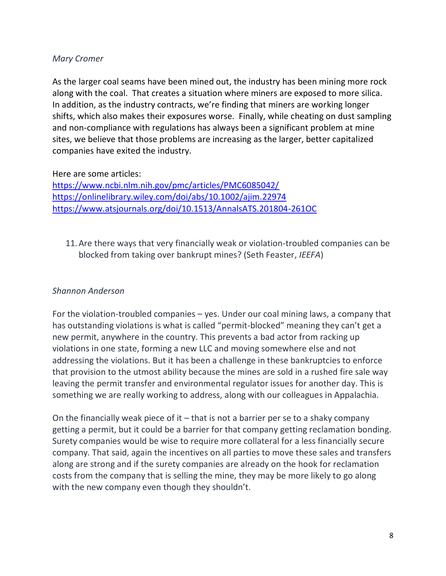As the larger coal seams have been mined out, the industry has been mining more rock along with the coal. That creates a situation where miners are exposed to more silica. In addition, as the industry contracts, we're finding that miners are working longer shifts, which also makes their exposures worse. Finally, while cheating on dust sampling and non-compliance with regulations has always been a significant problem at mine sites, we believe that those problems are increasing as the larger, better capitalized companies have exited the industry.

Here are some articles:

<https://www.ncbi.nlm.nih.gov/pmc/articles/PMC6085042/> <https://onlinelibrary.wiley.com/doi/abs/10.1002/ajim.22974> <https://www.atsjournals.org/doi/10.1513/AnnalsATS.201804-261OC>

11.Are there ways that very financially weak or violation-troubled companies can be blocked from taking over bankrupt mines? (Seth Feaster, *IEEFA*)

#### *Shannon Anderson*

For the violation-troubled companies – yes. Under our coal mining laws, a company that has outstanding violations is what is called "permit-blocked" meaning they can't get a new permit, anywhere in the country. This prevents a bad actor from racking up violations in one state, forming a new LLC and moving somewhere else and not addressing the violations. But it has been a challenge in these bankruptcies to enforce that provision to the utmost ability because the mines are sold in a rushed fire sale way leaving the permit transfer and environmental regulator issues for another day. This is something we are really working to address, along with our colleagues in Appalachia.

On the financially weak piece of it  $-$  that is not a barrier per se to a shaky company getting a permit, but it could be a barrier for that company getting reclamation bonding. Surety companies would be wise to require more collateral for a less financially secure company. That said, again the incentives on all parties to move these sales and transfers along are strong and if the surety companies are already on the hook for reclamation costs from the company that is selling the mine, they may be more likely to go along with the new company even though they shouldn't.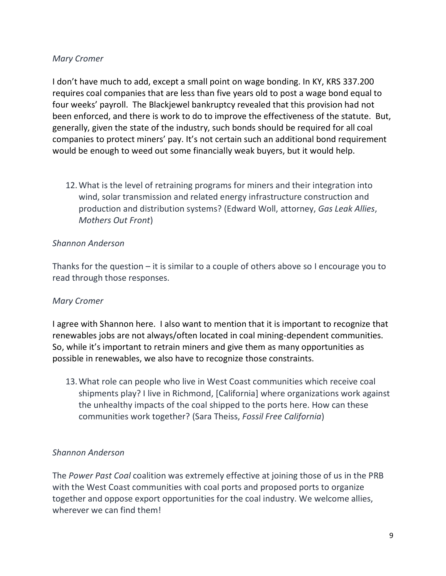I don't have much to add, except a small point on wage bonding. In KY, KRS 337.200 requires coal companies that are less than five years old to post a wage bond equal to four weeks' payroll. The Blackjewel bankruptcy revealed that this provision had not been enforced, and there is work to do to improve the effectiveness of the statute. But, generally, given the state of the industry, such bonds should be required for all coal companies to protect miners' pay. It's not certain such an additional bond requirement would be enough to weed out some financially weak buyers, but it would help.

12.What is the level of retraining programs for miners and their integration into wind, solar transmission and related energy infrastructure construction and production and distribution systems? (Edward Woll, attorney, *Gas Leak Allies*, *Mothers Out Front*)

## *Shannon Anderson*

Thanks for the question – it is similar to a couple of others above so I encourage you to read through those responses.

## *Mary Cromer*

I agree with Shannon here. I also want to mention that it is important to recognize that renewables jobs are not always/often located in coal mining-dependent communities. So, while it's important to retrain miners and give them as many opportunities as possible in renewables, we also have to recognize those constraints.

13.What role can people who live in West Coast communities which receive coal shipments play? I live in Richmond, [California] where organizations work against the unhealthy impacts of the coal shipped to the ports here. How can these communities work together? (Sara Theiss, *Fossil Free California*)

## *Shannon Anderson*

The *Power Past Coal* coalition was extremely effective at joining those of us in the PRB with the West Coast communities with coal ports and proposed ports to organize together and oppose export opportunities for the coal industry. We welcome allies, wherever we can find them!